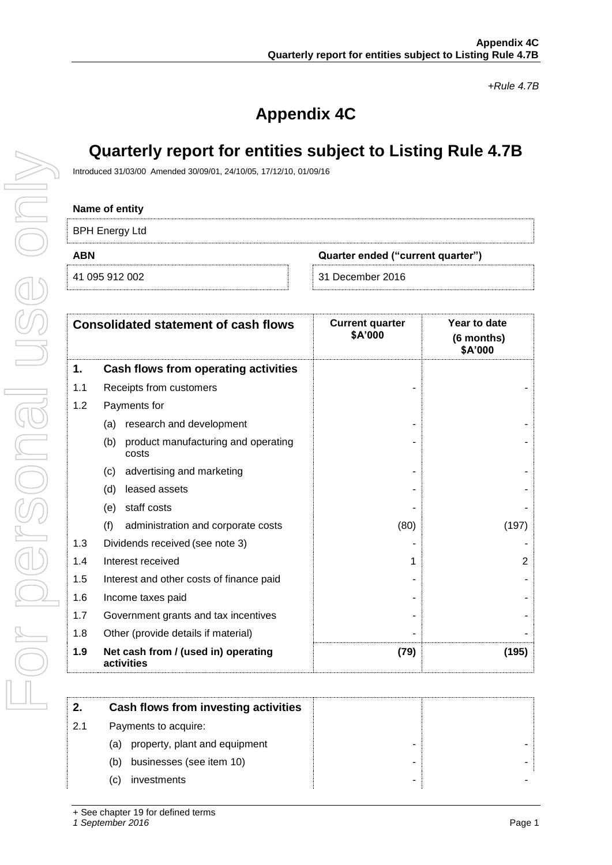*+Rule 4.7B*

# **Appendix 4C**

# **Quarterly report for entities subject to Listing Rule 4.7B**

Introduced 31/03/00 Amended 30/09/01, 24/10/05, 17/12/10, 01/09/16

#### **Name of entity**

| .                     |                                   |
|-----------------------|-----------------------------------|
| <b>BPH Energy Ltd</b> |                                   |
| ABN                   | Quarter ended ("current quarter") |
| 41 095 912 002        | 31 December 2016                  |

|     | <b>Consolidated statement of cash flows</b> |                                                   | <b>Current quarter</b><br>\$A'000 | Year to date<br>(6 months)<br>\$A'000 |
|-----|---------------------------------------------|---------------------------------------------------|-----------------------------------|---------------------------------------|
| 1.  |                                             | Cash flows from operating activities              |                                   |                                       |
| 1.1 |                                             | Receipts from customers                           |                                   |                                       |
| 1.2 |                                             | Payments for                                      |                                   |                                       |
|     | (a)                                         | research and development                          |                                   |                                       |
|     | (b)                                         | product manufacturing and operating<br>costs      |                                   |                                       |
|     | (c)                                         | advertising and marketing                         |                                   |                                       |
|     | (d)                                         | leased assets                                     |                                   |                                       |
|     | (e)                                         | staff costs                                       |                                   |                                       |
|     | (f)                                         | administration and corporate costs                | (80)                              | (197)                                 |
| 1.3 |                                             | Dividends received (see note 3)                   |                                   |                                       |
| 1.4 |                                             | Interest received                                 | 1                                 | $\overline{2}$                        |
| 1.5 |                                             | Interest and other costs of finance paid          |                                   |                                       |
| 1.6 |                                             | Income taxes paid                                 |                                   |                                       |
| 1.7 |                                             | Government grants and tax incentives              |                                   |                                       |
| 1.8 |                                             | Other (provide details if material)               |                                   |                                       |
| 1.9 |                                             | Net cash from / (used in) operating<br>activities | (79)                              | (195)                                 |

| 2.  | Cash flows from investing activities |   |  |
|-----|--------------------------------------|---|--|
| 2.1 | Payments to acquire:                 |   |  |
|     | property, plant and equipment<br>(a) | - |  |
|     | businesses (see item 10)<br>(b)      |   |  |
|     | investments<br>(C)                   |   |  |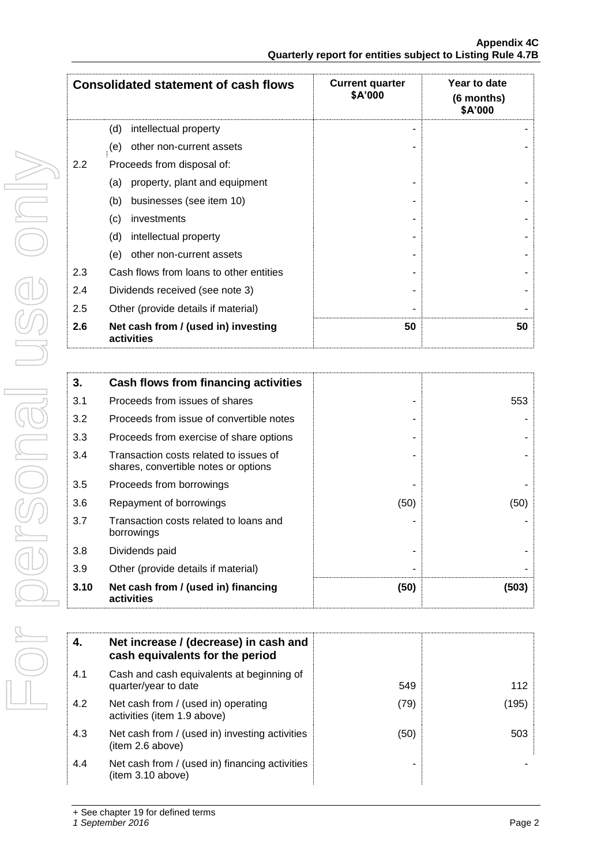|     | <b>Consolidated statement of cash flows</b>       | <b>Current quarter</b><br>\$A'000 | Year to date<br>(6 months)<br>\$A'000 |
|-----|---------------------------------------------------|-----------------------------------|---------------------------------------|
|     | (d)<br>intellectual property                      |                                   |                                       |
|     | other non-current assets<br>(e)                   |                                   |                                       |
| 2.2 | Proceeds from disposal of:                        |                                   |                                       |
|     | property, plant and equipment<br>(a)              |                                   |                                       |
|     | (b)<br>businesses (see item 10)                   |                                   |                                       |
|     | (c)<br>investments                                |                                   |                                       |
|     | (d)<br>intellectual property                      |                                   |                                       |
|     | other non-current assets<br>(e)                   |                                   |                                       |
| 2.3 | Cash flows from loans to other entities           |                                   |                                       |
| 2.4 | Dividends received (see note 3)                   |                                   |                                       |
| 2.5 | Other (provide details if material)               |                                   |                                       |
| 2.6 | Net cash from / (used in) investing<br>activities | 50                                | 50                                    |

| 3.   | Cash flows from financing activities                                           |      |       |
|------|--------------------------------------------------------------------------------|------|-------|
| 3.1  | Proceeds from issues of shares                                                 |      | 553   |
| 3.2  | Proceeds from issue of convertible notes                                       |      |       |
| 3.3  | Proceeds from exercise of share options                                        |      |       |
| 3.4  | Transaction costs related to issues of<br>shares, convertible notes or options |      |       |
| 3.5  | Proceeds from borrowings                                                       |      |       |
| 3.6  | Repayment of borrowings                                                        | (50) | (50)  |
| 3.7  | Transaction costs related to loans and<br>borrowings                           |      |       |
| 3.8  | Dividends paid                                                                 |      |       |
| 3.9  | Other (provide details if material)                                            |      |       |
| 3.10 | Net cash from / (used in) financing<br>activities                              | (50) | (503) |

| -4. | Net increase / (decrease) in cash and<br>cash equivalents for the period |      |       |
|-----|--------------------------------------------------------------------------|------|-------|
| 4.1 | Cash and cash equivalents at beginning of<br>quarter/year to date        | 549  | 112   |
| 4.2 | Net cash from / (used in) operating<br>activities (item 1.9 above)       | (79) | (195) |
| 4.3 | Net cash from / (used in) investing activities<br>(item 2.6 above)       | (50) | 503   |
| 4.4 | Net cash from / (used in) financing activities<br>(item 3.10 above)      |      |       |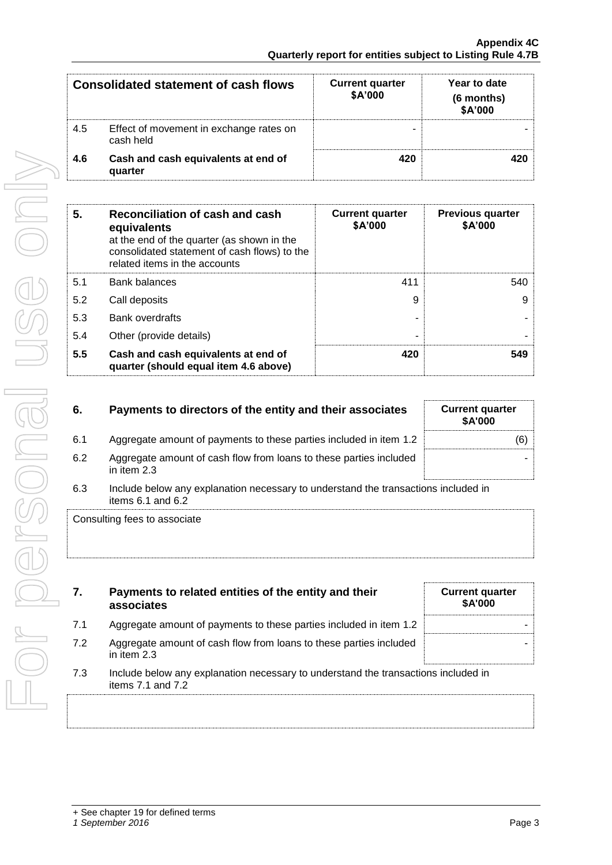|     | Consolidated statement of cash flows                 | <b>Current quarter</b><br>\$A'000 | Year to date<br>(6 months)<br>\$A'000 |
|-----|------------------------------------------------------|-----------------------------------|---------------------------------------|
| 4.5 | Effect of movement in exchange rates on<br>cash held |                                   |                                       |
| 4.6 | Cash and cash equivalents at end of<br>quarter       | 420                               | 420                                   |

| 5.  | Reconciliation of cash and cash<br>equivalents<br>at the end of the quarter (as shown in the<br>consolidated statement of cash flows) to the<br>related items in the accounts | <b>Current quarter</b><br>\$A'000 | <b>Previous quarter</b><br>\$A'000 |
|-----|-------------------------------------------------------------------------------------------------------------------------------------------------------------------------------|-----------------------------------|------------------------------------|
| 5.1 | <b>Bank balances</b>                                                                                                                                                          | 411                               | 540                                |
| 5.2 | Call deposits                                                                                                                                                                 | 9                                 | 9                                  |
| 5.3 | <b>Bank overdrafts</b>                                                                                                                                                        |                                   |                                    |
| 5.4 | Other (provide details)                                                                                                                                                       | -                                 |                                    |
| 5.5 | Cash and cash equivalents at end of<br>quarter (should equal item 4.6 above)                                                                                                  | 420                               | 549                                |

| 6.  | Payments to directors of the entity and their associates                                                    | <b>Current quarter</b><br>\$A'000 |
|-----|-------------------------------------------------------------------------------------------------------------|-----------------------------------|
| 6.1 | Aggregate amount of payments to these parties included in item 1.2                                          | (6)                               |
| 6.2 | Aggregate amount of cash flow from loans to these parties included<br>in item $2.3$                         |                                   |
| 6.3 | Include below any explanation necessary to understand the transactions included in<br>items $6.1$ and $6.2$ |                                   |

Consulting fees to associate

| 7.  | Payments to related entities of the entity and their<br>associates                                          | <b>Current quarter</b><br><b>\$A'000</b> |
|-----|-------------------------------------------------------------------------------------------------------------|------------------------------------------|
| 7.1 | Aggregate amount of payments to these parties included in item 1.2                                          |                                          |
| 7.2 | Aggregate amount of cash flow from loans to these parties included<br>in item $2.3$                         |                                          |
| 7.3 | Include below any explanation necessary to understand the transactions included in<br>items $7.1$ and $7.2$ |                                          |

For personal use only Forersonal use only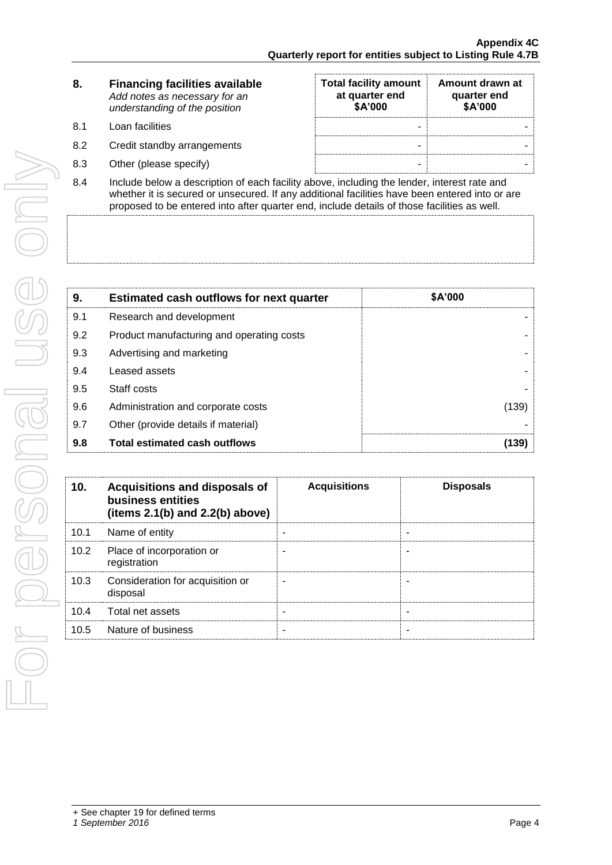| 8. | <b>Financing facilities available</b> |
|----|---------------------------------------|
|    | Add notes as necessary for an         |
|    | understanding of the position         |
|    |                                       |

- 8.1 Loan facilities
- 8.2 Credit standby arrangements
- 8.3 Other (please specify)

| <b>Total facility amount</b><br>at quarter end<br>\$A'000 | Amount drawn at<br>quarter end<br>\$A'000 |
|-----------------------------------------------------------|-------------------------------------------|
|                                                           |                                           |
|                                                           |                                           |
|                                                           |                                           |

8.4 Include below a description of each facility above, including the lender, interest rate and whether it is secured or unsecured. If any additional facilities have been entered into or are proposed to be entered into after quarter end, include details of those facilities as well.

| 9.  | <b>Estimated cash outflows for next quarter</b> | \$A'000 |
|-----|-------------------------------------------------|---------|
| 9.1 | Research and development                        |         |
| 9.2 | Product manufacturing and operating costs       |         |
| 9.3 | Advertising and marketing                       |         |
| 9.4 | Leased assets                                   |         |
| 9.5 | Staff costs                                     |         |
| 9.6 | Administration and corporate costs              | (139)   |
| 9.7 | Other (provide details if material)             |         |
| 9.8 | <b>Total estimated cash outflows</b>            | (139)   |

| 10.  | Acquisitions and disposals of<br>business entities<br>(items $2.1(b)$ and $2.2(b)$ above) | <b>Acquisitions</b> | <b>Disposals</b> |
|------|-------------------------------------------------------------------------------------------|---------------------|------------------|
| 10.1 | Name of entity                                                                            |                     |                  |
| 10.2 | Place of incorporation or<br>registration                                                 |                     |                  |
| 10.3 | Consideration for acquisition or<br>disposal                                              |                     |                  |
| 10.4 | Total net assets                                                                          |                     | -                |
| 10.5 | Nature of business                                                                        |                     |                  |